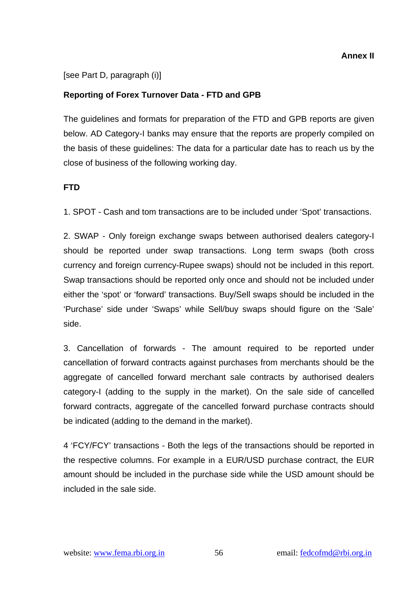[see Part D, paragraph (i)]

## **Reporting of Forex Turnover Data - FTD and GPB**

The guidelines and formats for preparation of the FTD and GPB reports are given below. AD Category-I banks may ensure that the reports are properly compiled on the basis of these guidelines: The data for a particular date has to reach us by the close of business of the following working day.

### **FTD**

1. SPOT - Cash and tom transactions are to be included under 'Spot' transactions.

2. SWAP - Only foreign exchange swaps between authorised dealers category-I should be reported under swap transactions. Long term swaps (both cross currency and foreign currency-Rupee swaps) should not be included in this report. Swap transactions should be reported only once and should not be included under either the 'spot' or 'forward' transactions. Buy/Sell swaps should be included in the 'Purchase' side under 'Swaps' while Sell/buy swaps should figure on the 'Sale' side.

3. Cancellation of forwards - The amount required to be reported under cancellation of forward contracts against purchases from merchants should be the aggregate of cancelled forward merchant sale contracts by authorised dealers category-I (adding to the supply in the market). On the sale side of cancelled forward contracts, aggregate of the cancelled forward purchase contracts should be indicated (adding to the demand in the market).

4 'FCY/FCY' transactions - Both the legs of the transactions should be reported in the respective columns. For example in a EUR/USD purchase contract, the EUR amount should be included in the purchase side while the USD amount should be included in the sale side.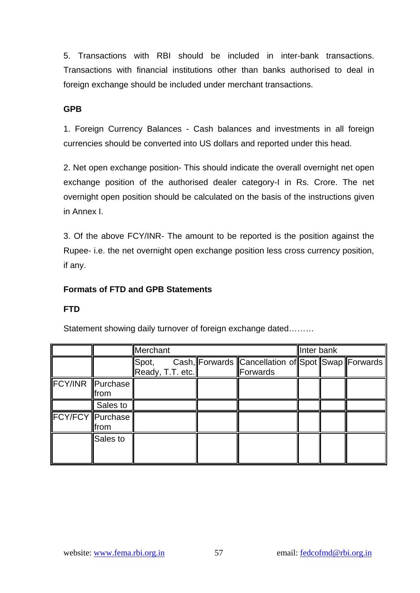5. Transactions with RBI should be included in inter-bank transactions. Transactions with financial institutions other than banks authorised to deal in foreign exchange should be included under merchant transactions.

### **GPB**

1. Foreign Currency Balances - Cash balances and investments in all foreign currencies should be converted into US dollars and reported under this head.

2. Net open exchange position- This should indicate the overall overnight net open exchange position of the authorised dealer category-I in Rs. Crore. The net overnight open position should be calculated on the basis of the instructions given in Annex I.

3. Of the above FCY/INR- The amount to be reported is the position against the Rupee- i.e. the net overnight open exchange position less cross currency position, if any.

#### **Formats of FTD and GPB Statements**

#### **FTD**

|                         |          | Merchant                  |  |  |                                                               | Inter bank |  |  |
|-------------------------|----------|---------------------------|--|--|---------------------------------------------------------------|------------|--|--|
|                         |          | Spot,<br>Ready, T.T. etc. |  |  | Cash, Forwards Cancellation of Spot Swap Forwards<br>Forwards |            |  |  |
| FCY/INR Purchase        | from     |                           |  |  |                                                               |            |  |  |
|                         | Sales to |                           |  |  |                                                               |            |  |  |
| <b>FCY/FCY Purchase</b> | from     |                           |  |  |                                                               |            |  |  |
|                         | Sales to |                           |  |  |                                                               |            |  |  |